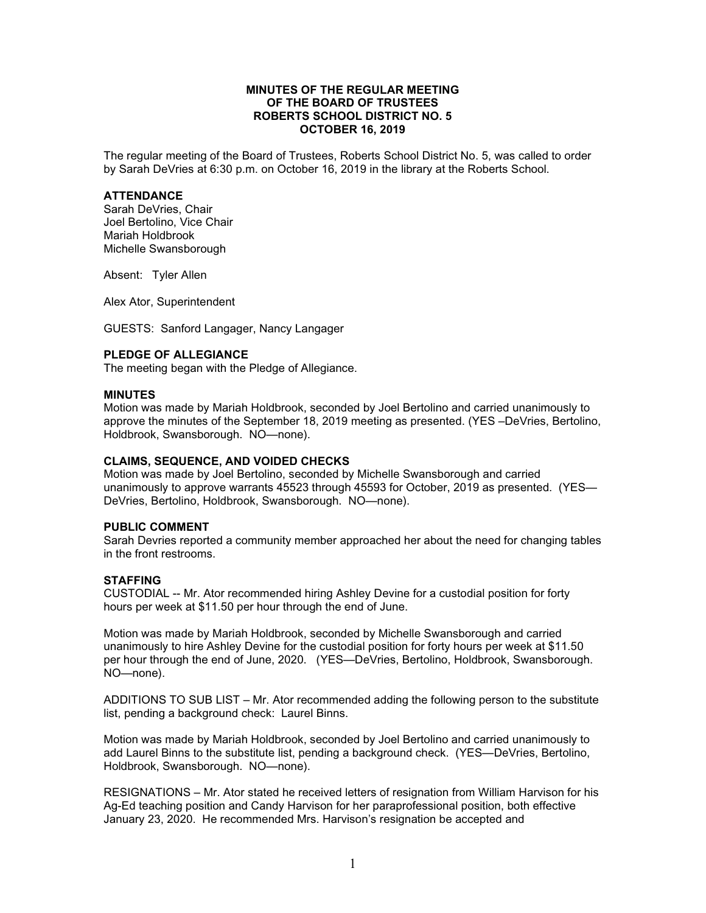## **MINUTES OF THE REGULAR MEETING OF THE BOARD OF TRUSTEES ROBERTS SCHOOL DISTRICT NO. 5 OCTOBER 16, 2019**

The regular meeting of the Board of Trustees, Roberts School District No. 5, was called to order by Sarah DeVries at 6:30 p.m. on October 16, 2019 in the library at the Roberts School.

## **ATTENDANCE**

Sarah DeVries, Chair Joel Bertolino, Vice Chair Mariah Holdbrook Michelle Swansborough

Absent: Tyler Allen

Alex Ator, Superintendent

GUESTS: Sanford Langager, Nancy Langager

## **PLEDGE OF ALLEGIANCE**

The meeting began with the Pledge of Allegiance.

## **MINUTES**

Motion was made by Mariah Holdbrook, seconded by Joel Bertolino and carried unanimously to approve the minutes of the September 18, 2019 meeting as presented. (YES –DeVries, Bertolino, Holdbrook, Swansborough. NO—none).

#### **CLAIMS, SEQUENCE, AND VOIDED CHECKS**

Motion was made by Joel Bertolino, seconded by Michelle Swansborough and carried unanimously to approve warrants 45523 through 45593 for October, 2019 as presented. (YES— DeVries, Bertolino, Holdbrook, Swansborough. NO—none).

### **PUBLIC COMMENT**

Sarah Devries reported a community member approached her about the need for changing tables in the front restrooms.

#### **STAFFING**

CUSTODIAL -- Mr. Ator recommended hiring Ashley Devine for a custodial position for forty hours per week at \$11.50 per hour through the end of June.

Motion was made by Mariah Holdbrook, seconded by Michelle Swansborough and carried unanimously to hire Ashley Devine for the custodial position for forty hours per week at \$11.50 per hour through the end of June, 2020. (YES—DeVries, Bertolino, Holdbrook, Swansborough. NO—none).

ADDITIONS TO SUB LIST – Mr. Ator recommended adding the following person to the substitute list, pending a background check: Laurel Binns.

Motion was made by Mariah Holdbrook, seconded by Joel Bertolino and carried unanimously to add Laurel Binns to the substitute list, pending a background check. (YES—DeVries, Bertolino, Holdbrook, Swansborough. NO—none).

RESIGNATIONS – Mr. Ator stated he received letters of resignation from William Harvison for his Ag-Ed teaching position and Candy Harvison for her paraprofessional position, both effective January 23, 2020. He recommended Mrs. Harvison's resignation be accepted and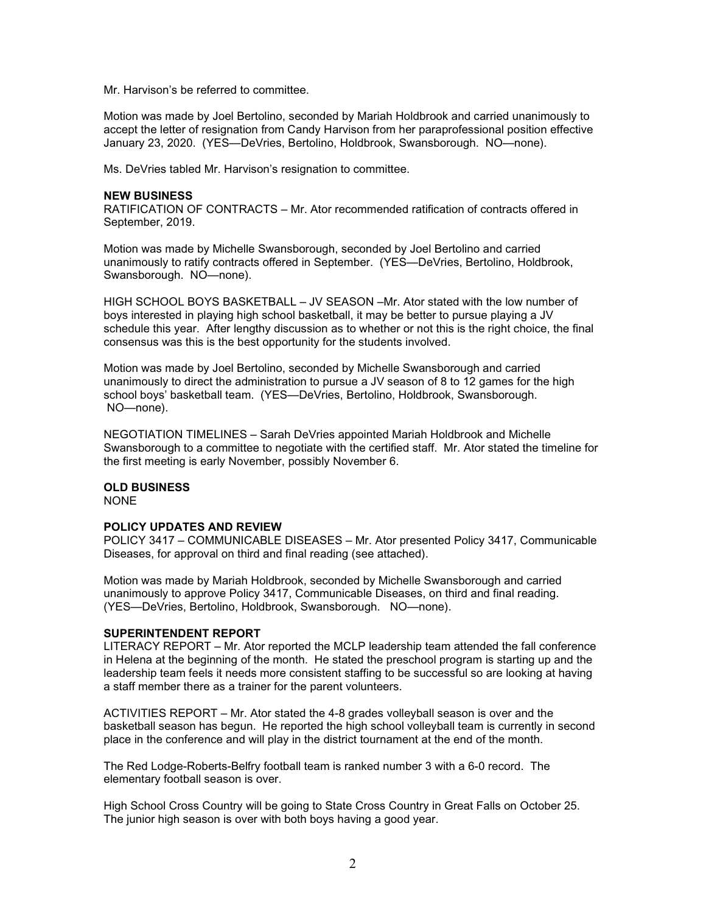Mr. Harvison's be referred to committee.

Motion was made by Joel Bertolino, seconded by Mariah Holdbrook and carried unanimously to accept the letter of resignation from Candy Harvison from her paraprofessional position effective January 23, 2020. (YES—DeVries, Bertolino, Holdbrook, Swansborough. NO—none).

Ms. DeVries tabled Mr. Harvison's resignation to committee.

#### **NEW BUSINESS**

RATIFICATION OF CONTRACTS – Mr. Ator recommended ratification of contracts offered in September, 2019.

Motion was made by Michelle Swansborough, seconded by Joel Bertolino and carried unanimously to ratify contracts offered in September. (YES—DeVries, Bertolino, Holdbrook, Swansborough. NO—none).

HIGH SCHOOL BOYS BASKETBALL – JV SEASON –Mr. Ator stated with the low number of boys interested in playing high school basketball, it may be better to pursue playing a JV schedule this year. After lengthy discussion as to whether or not this is the right choice, the final consensus was this is the best opportunity for the students involved.

Motion was made by Joel Bertolino, seconded by Michelle Swansborough and carried unanimously to direct the administration to pursue a JV season of 8 to 12 games for the high school boys' basketball team. (YES—DeVries, Bertolino, Holdbrook, Swansborough. NO—none).

NEGOTIATION TIMELINES – Sarah DeVries appointed Mariah Holdbrook and Michelle Swansborough to a committee to negotiate with the certified staff. Mr. Ator stated the timeline for the first meeting is early November, possibly November 6.

## **OLD BUSINESS**

NONE

## **POLICY UPDATES AND REVIEW**

POLICY 3417 – COMMUNICABLE DISEASES – Mr. Ator presented Policy 3417, Communicable Diseases, for approval on third and final reading (see attached).

Motion was made by Mariah Holdbrook, seconded by Michelle Swansborough and carried unanimously to approve Policy 3417, Communicable Diseases, on third and final reading. (YES—DeVries, Bertolino, Holdbrook, Swansborough. NO—none).

## **SUPERINTENDENT REPORT**

LITERACY REPORT – Mr. Ator reported the MCLP leadership team attended the fall conference in Helena at the beginning of the month. He stated the preschool program is starting up and the leadership team feels it needs more consistent staffing to be successful so are looking at having a staff member there as a trainer for the parent volunteers.

ACTIVITIES REPORT – Mr. Ator stated the 4-8 grades volleyball season is over and the basketball season has begun. He reported the high school volleyball team is currently in second place in the conference and will play in the district tournament at the end of the month.

The Red Lodge-Roberts-Belfry football team is ranked number 3 with a 6-0 record. The elementary football season is over.

High School Cross Country will be going to State Cross Country in Great Falls on October 25. The junior high season is over with both boys having a good year.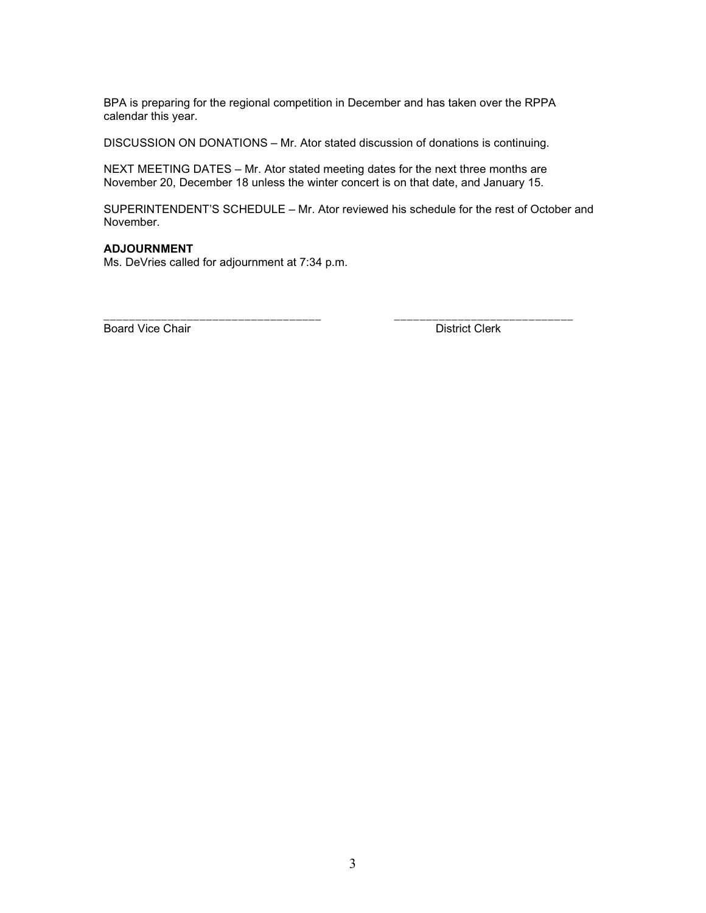BPA is preparing for the regional competition in December and has taken over the RPPA calendar this year.

DISCUSSION ON DONATIONS – Mr. Ator stated discussion of donations is continuing.

NEXT MEETING DATES – Mr. Ator stated meeting dates for the next three months are November 20, December 18 unless the winter concert is on that date, and January 15.

SUPERINTENDENT'S SCHEDULE – Mr. Ator reviewed his schedule for the rest of October and November.

\_\_\_\_\_\_\_\_\_\_\_\_\_\_\_\_\_\_\_\_\_\_\_\_\_\_\_\_\_\_\_\_\_\_ \_\_\_\_\_\_\_\_\_\_\_\_\_\_\_\_\_\_\_\_\_\_\_\_\_\_\_\_

## **ADJOURNMENT**

Ms. DeVries called for adjournment at 7:34 p.m.

Board Vice Chair **District Clerk**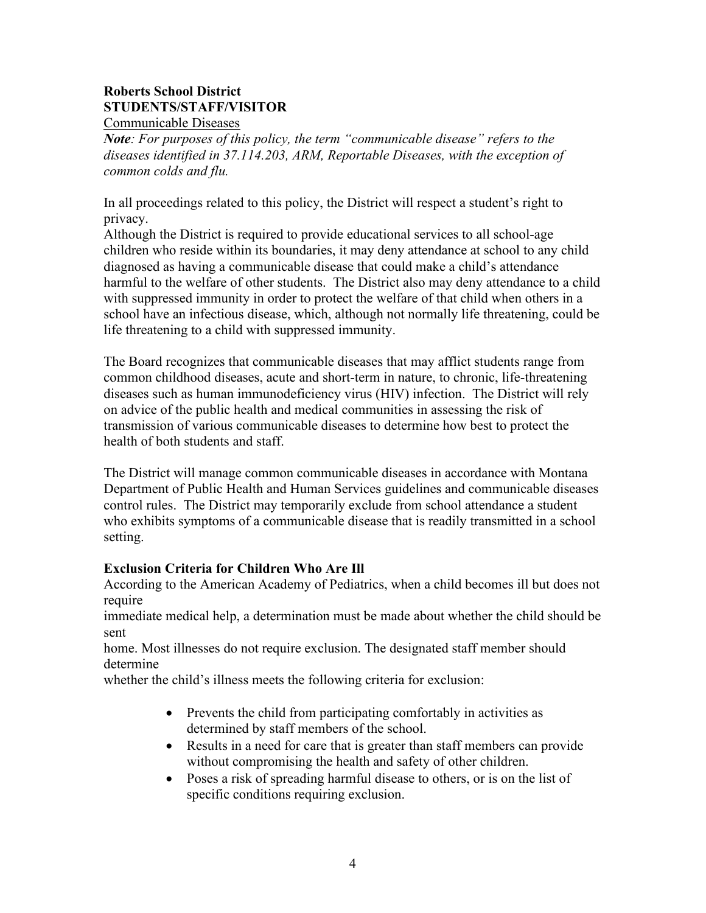# **Roberts School District STUDENTS/STAFF/VISITOR**

Communicable Diseases

*Note: For purposes of this policy, the term "communicable disease" refers to the diseases identified in 37.114.203, ARM, Reportable Diseases, with the exception of common colds and flu.*

In all proceedings related to this policy, the District will respect a student's right to privacy.

Although the District is required to provide educational services to all school-age children who reside within its boundaries, it may deny attendance at school to any child diagnosed as having a communicable disease that could make a child's attendance harmful to the welfare of other students. The District also may deny attendance to a child with suppressed immunity in order to protect the welfare of that child when others in a school have an infectious disease, which, although not normally life threatening, could be life threatening to a child with suppressed immunity.

The Board recognizes that communicable diseases that may afflict students range from common childhood diseases, acute and short-term in nature, to chronic, life-threatening diseases such as human immunodeficiency virus (HIV) infection. The District will rely on advice of the public health and medical communities in assessing the risk of transmission of various communicable diseases to determine how best to protect the health of both students and staff.

The District will manage common communicable diseases in accordance with Montana Department of Public Health and Human Services guidelines and communicable diseases control rules. The District may temporarily exclude from school attendance a student who exhibits symptoms of a communicable disease that is readily transmitted in a school setting.

## **Exclusion Criteria for Children Who Are Ill**

According to the American Academy of Pediatrics, when a child becomes ill but does not require

immediate medical help, a determination must be made about whether the child should be sent

home. Most illnesses do not require exclusion. The designated staff member should determine

whether the child's illness meets the following criteria for exclusion:

- Prevents the child from participating comfortably in activities as determined by staff members of the school.
- Results in a need for care that is greater than staff members can provide without compromising the health and safety of other children.
- Poses a risk of spreading harmful disease to others, or is on the list of specific conditions requiring exclusion.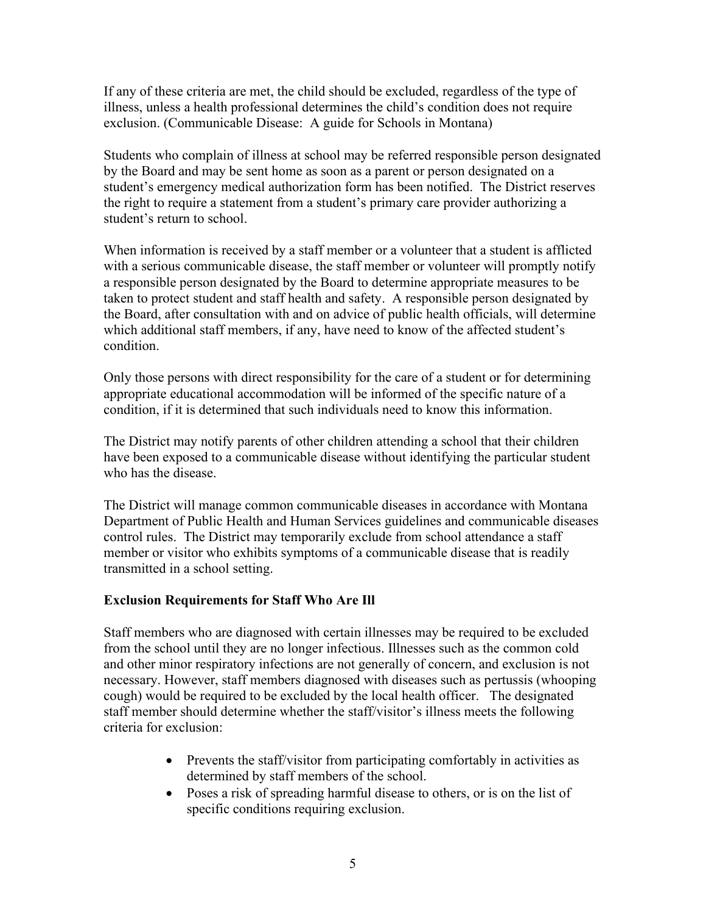If any of these criteria are met, the child should be excluded, regardless of the type of illness, unless a health professional determines the child's condition does not require exclusion. (Communicable Disease: A guide for Schools in Montana)

Students who complain of illness at school may be referred responsible person designated by the Board and may be sent home as soon as a parent or person designated on a student's emergency medical authorization form has been notified. The District reserves the right to require a statement from a student's primary care provider authorizing a student's return to school.

When information is received by a staff member or a volunteer that a student is afflicted with a serious communicable disease, the staff member or volunteer will promptly notify a responsible person designated by the Board to determine appropriate measures to be taken to protect student and staff health and safety. A responsible person designated by the Board, after consultation with and on advice of public health officials, will determine which additional staff members, if any, have need to know of the affected student's condition.

Only those persons with direct responsibility for the care of a student or for determining appropriate educational accommodation will be informed of the specific nature of a condition, if it is determined that such individuals need to know this information.

The District may notify parents of other children attending a school that their children have been exposed to a communicable disease without identifying the particular student who has the disease.

The District will manage common communicable diseases in accordance with Montana Department of Public Health and Human Services guidelines and communicable diseases control rules. The District may temporarily exclude from school attendance a staff member or visitor who exhibits symptoms of a communicable disease that is readily transmitted in a school setting.

## **Exclusion Requirements for Staff Who Are Ill**

Staff members who are diagnosed with certain illnesses may be required to be excluded from the school until they are no longer infectious. Illnesses such as the common cold and other minor respiratory infections are not generally of concern, and exclusion is not necessary. However, staff members diagnosed with diseases such as pertussis (whooping cough) would be required to be excluded by the local health officer. The designated staff member should determine whether the staff/visitor's illness meets the following criteria for exclusion:

- Prevents the staff/visitor from participating comfortably in activities as determined by staff members of the school.
- Poses a risk of spreading harmful disease to others, or is on the list of specific conditions requiring exclusion.